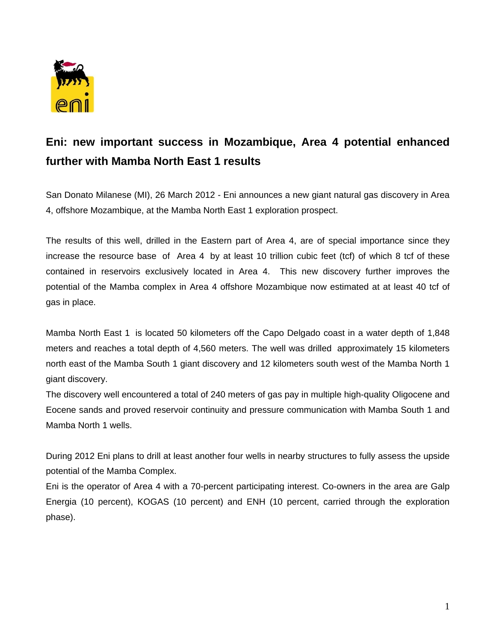

## **Eni: new important success in Mozambique, Area 4 potential enhanced further with Mamba North East 1 results**

San Donato Milanese (MI), 26 March 2012 - Eni announces a new giant natural gas discovery in Area 4, offshore Mozambique, at the Mamba North East 1 exploration prospect.

The results of this well, drilled in the Eastern part of Area 4, are of special importance since they increase the resource base of Area 4 by at least 10 trillion cubic feet (tcf) of which 8 tcf of these contained in reservoirs exclusively located in Area 4. This new discovery further improves the potential of the Mamba complex in Area 4 offshore Mozambique now estimated at at least 40 tcf of gas in place.

Mamba North East 1 is located 50 kilometers off the Capo Delgado coast in a water depth of 1,848 meters and reaches a total depth of 4,560 meters. The well was drilled approximately 15 kilometers north east of the Mamba South 1 giant discovery and 12 kilometers south west of the Mamba North 1 giant discovery.

The discovery well encountered a total of 240 meters of gas pay in multiple high-quality Oligocene and Eocene sands and proved reservoir continuity and pressure communication with Mamba South 1 and Mamba North 1 wells.

During 2012 Eni plans to drill at least another four wells in nearby structures to fully assess the upside potential of the Mamba Complex.

Eni is the operator of Area 4 with a 70-percent participating interest. Co-owners in the area are Galp Energia (10 percent), KOGAS (10 percent) and ENH (10 percent, carried through the exploration phase).